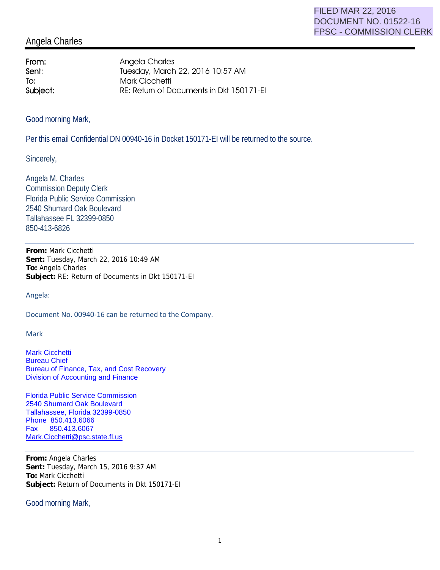## Angela Charles

From: Angela Charles **Sent:** Tuesday, March 22, 2016 10:57 AM To: Mark Cicchetti Subject: RE: Return of Documents in Dkt 150171-EI

Good morning Mark,

Per this email Confidential DN 00940-16 in Docket 150171-EI will be returned to the source.

Sincerely,

Angela M. Charles Commission Deputy Clerk Florida Public Service Commission 2540 Shumard Oak Boulevard Tallahassee FL 32399-0850 850-413-6826

**From:** Mark Cicchetti **Sent:** Tuesday, March 22, 2016 10:49 AM **To:** Angela Charles **Subject:** RE: Return of Documents in Dkt 150171-EI

Angela:

Document No. 00940-16 can be returned to the Company.

Mark

Mark Cicchetti Bureau Chief Bureau of Finance, Tax, and Cost Recovery Division of Accounting and Finance

Florida Public Service Commission 2540 Shumard Oak Boulevard Tallahassee, Florida 32399-0850 Phone 850.413.6066 Fax 850.413.6067 Mark.Cicchetti@psc.state.fl.us

**From:** Angela Charles **Sent:** Tuesday, March 15, 2016 9:37 AM **To:** Mark Cicchetti **Subject:** Return of Documents in Dkt 150171-EI

Good morning Mark,